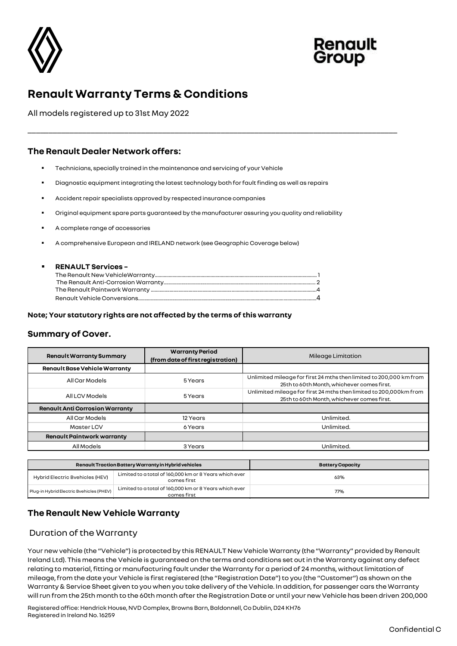



# **Renault Warranty Terms & Conditions**

All models registered up to 31st May 2022

# **The Renault Dealer Network offers:**

- Technicians, specially trained in the maintenance and servicing of your Vehicle
- Diagnostic equipment integrating the latest technology both for fault finding as well as repairs
- Accident repair specialists approved by respected insurance companies
- Original equipment spare parts guaranteed by the manufacturer assuring you quality and reliability

\_\_\_\_\_\_\_\_\_\_\_\_\_\_\_\_\_\_\_\_\_\_\_\_\_\_\_\_\_\_\_\_\_\_\_\_\_\_\_\_\_\_\_\_\_\_\_\_\_\_\_\_\_\_\_\_\_\_\_\_\_\_\_\_\_\_\_\_\_\_\_\_\_\_\_\_\_\_\_\_\_\_\_\_\_\_\_\_

- A complete range of accessories
- A comprehensive European and IRELAND network (see Geographic Coverage below)

#### ▪ **RENAULT Services –**

#### **Note; Your statutory rights are not affected by the terms of this warranty**

### **Summary of Cover.**

| <b>Renault Warranty Summary</b>                              |                                                                       | <b>Warranty Period</b><br>(from date of first registration) | Mileage Limitation                                                                                                                                                                                                                                                                                                                                                                                                                                                                                                                                                                                                                                                                                                                                                        |  |  |
|--------------------------------------------------------------|-----------------------------------------------------------------------|-------------------------------------------------------------|---------------------------------------------------------------------------------------------------------------------------------------------------------------------------------------------------------------------------------------------------------------------------------------------------------------------------------------------------------------------------------------------------------------------------------------------------------------------------------------------------------------------------------------------------------------------------------------------------------------------------------------------------------------------------------------------------------------------------------------------------------------------------|--|--|
| <b>Renault Base Vehicle Warranty</b>                         |                                                                       |                                                             |                                                                                                                                                                                                                                                                                                                                                                                                                                                                                                                                                                                                                                                                                                                                                                           |  |  |
| All Car Models                                               |                                                                       | 5 Years                                                     | Unlimited mileage for first 24 mths then limited to 200,000 km from<br>25th to 60th Month, whichever comes first.                                                                                                                                                                                                                                                                                                                                                                                                                                                                                                                                                                                                                                                         |  |  |
| All LCV Models                                               |                                                                       | 5 Years                                                     | Unlimited mileage for first 24 mths then limited to 200,000km from<br>25th to 60th Month, whichever comes first.                                                                                                                                                                                                                                                                                                                                                                                                                                                                                                                                                                                                                                                          |  |  |
| <b>Renault Anti Corrosion Warranty</b>                       |                                                                       |                                                             |                                                                                                                                                                                                                                                                                                                                                                                                                                                                                                                                                                                                                                                                                                                                                                           |  |  |
| All Car Models                                               |                                                                       | 12 Years                                                    | Unlimited.                                                                                                                                                                                                                                                                                                                                                                                                                                                                                                                                                                                                                                                                                                                                                                |  |  |
| Master LCV                                                   |                                                                       | 6 Years                                                     | Unlimited.                                                                                                                                                                                                                                                                                                                                                                                                                                                                                                                                                                                                                                                                                                                                                                |  |  |
| <b>Renault Paintwork warranty</b>                            |                                                                       |                                                             |                                                                                                                                                                                                                                                                                                                                                                                                                                                                                                                                                                                                                                                                                                                                                                           |  |  |
| <b>All Models</b>                                            |                                                                       | 3 Years                                                     | Unlimited.                                                                                                                                                                                                                                                                                                                                                                                                                                                                                                                                                                                                                                                                                                                                                                |  |  |
|                                                              |                                                                       |                                                             |                                                                                                                                                                                                                                                                                                                                                                                                                                                                                                                                                                                                                                                                                                                                                                           |  |  |
| Renault Traction Battery Warranty in Hybrid vehicles         |                                                                       |                                                             | <b>Battery Capacity</b>                                                                                                                                                                                                                                                                                                                                                                                                                                                                                                                                                                                                                                                                                                                                                   |  |  |
| Hybrid Electric Bvehicles (HEV)                              | Limited to a total of 160,000 km or 8 Years which ever<br>comes first |                                                             | 63%                                                                                                                                                                                                                                                                                                                                                                                                                                                                                                                                                                                                                                                                                                                                                                       |  |  |
| Plug-in Hybrid Electric Bvehicles (PHEV)                     | Limited to a total of 160,000 km or 8 Years which ever<br>comes first |                                                             | 77%                                                                                                                                                                                                                                                                                                                                                                                                                                                                                                                                                                                                                                                                                                                                                                       |  |  |
| The Renault New Vehicle Warranty<br>Duration of the Warranty |                                                                       |                                                             |                                                                                                                                                                                                                                                                                                                                                                                                                                                                                                                                                                                                                                                                                                                                                                           |  |  |
|                                                              |                                                                       |                                                             | Your new vehicle (the "Vehicle") is protected by this RENAULT New Vehicle Warranty (the "Warranty" provided by Renault<br>Ireland Ltd). This means the Vehicle is guaranteed on the terms and conditions set out in the Warranty against any defect<br>relating to material, fitting or manufacturing fault under the Warranty for a period of 24 months, without limitation of<br>mileage, from the date your Vehicle is first registered (the "Registration Date") to you (the "Customer") as shown on the<br>Warranty & Service Sheet given to you when you take delivery of the Vehicle. In addition, for passenger cars the Warranty<br>will run from the 25th month to the 60th month after the Registration Date or until your new Vehicle has been driven 200,000 |  |  |

|                                          | Renault Traction Battery Warranty in Hybrid vehicles                  | <b>Battery Capacity</b> |
|------------------------------------------|-----------------------------------------------------------------------|-------------------------|
| Hybrid Electric Bvehicles (HEV)          | Limited to a total of 160,000 km or 8 Years which ever<br>comes first | 63%                     |
| Plug-in Hybrid Electric Bvehicles (PHEV) | Limited to a total of 160,000 km or 8 Years which ever<br>comes first | 77%                     |

# **The Renault New Vehicle Warranty**

### Duration of the Warranty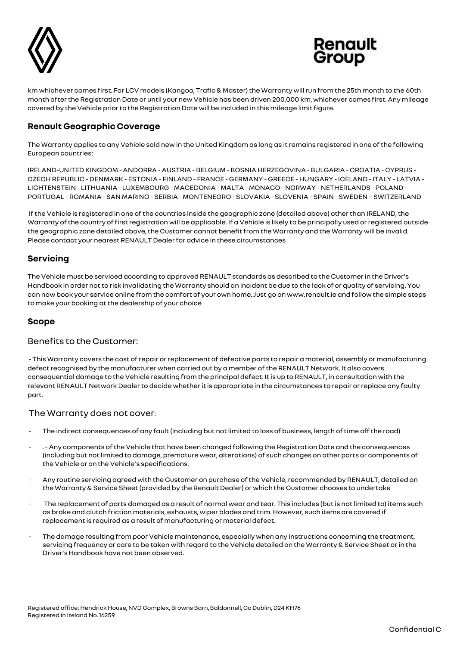



km whichever comes first. For LCV models (Kangoo, Trafic & Master) the Warranty will run from the 25th month to the 60th month after the Registration Date or until your new Vehicle has been driven 200,000 km, whichever comes first. Any mileage covered by the Vehicle prior to the Registration Date will be included in this mileage limit figure.

# **Renault Geographic Coverage**

The Warranty applies to any Vehicle sold new in the United Kingdom as long as it remains registered in one of the following European countries:

IRELAND-UNITED KINGDOM - ANDORRA - AUSTRIA - BELGIUM - BOSNIA HERZEGOVINA - BULGARIA - CROATIA - CYPRUS - CZECH REPUBLIC - DENMARK - ESTONIA - FINLAND - FRANCE - GERMANY - GREECE - HUNGARY -ICELAND -ITALY - LATVIA - LICHTENSTEIN - LITHUANIA - LUXEMBOURG - MACEDONIA - MALTA - MONACO - NORWAY - NETHERLANDS - POLAND - PORTUGAL - ROMANIA - SAN MARINO - SERBIA - MONTENEGRO - SLOVAKIA - SLOVENIA - SPAIN - SWEDEN – SWITZERLAND

If the Vehicle is registered in one of the countries inside the geographic zone (detailed above) other than IRELAND, the Warranty of the country of first registration will be applicable. If a Vehicle is likely to be principally used or registered outside the geographic zone detailed above, the Customer cannot benefit from the Warranty and the Warranty will be invalid. Please contact your nearest RENAULT Dealer for advice in these circumstances

# **Servicing**

The Vehicle must be serviced according to approved RENAULT standards as described to the Customer in the Driver's Handbook in order not to risk invalidating the Warranty should an incident be due to the lack of or quality of servicing. You can now book your service online from the comfort of your own home. Just go on www.renault.ie and follow the simple steps to make your booking at the dealership of your choice

### **Scope**

### Benefits to the Customer:

- This Warranty covers the cost of repair or replacement of defective parts to repair a material, assembly or manufacturing defect recognised by the manufacturer when carried out by a member of the RENAULT Network. It also covers consequential damage to the Vehicle resulting from the principal defect. It is up to RENAULT, in consultation with the relevant RENAULT Network Dealer to decide whether it is appropriate in the circumstances to repair or replace any faulty part.

### The Warranty does not cover:

- The indirect consequences of any fault (including but not limited to loss of business, length of time off the road)
- . Any components of the Vehicle that have been changed following the Registration Date and the consequences (including but not limited to damage, premature wear, alterations) of such changes on other parts or components of the Vehicle or on the Vehicle's specifications.
- Any routine servicing agreed with the Customer on purchase of the Vehicle, recommended by RENAULT, detailed on the Warranty & Service Sheet (provided by the Renault Dealer) or which the Customer chooses to undertake
- The replacement of parts damaged as a result of normal wear and tear. This includes (but is not limited to) items such as brake and clutch friction materials, exhausts, wiper blades and trim. However, such items are covered if replacement is required as a result of manufacturing or material defect.
- The damage resulting from poor Vehicle maintenance, especially when any instructions concerning the treatment, servicing frequency or care to be taken with regard to the Vehicle detailed on the Warranty & Service Sheet or in the Driver's Handbook have not been observed.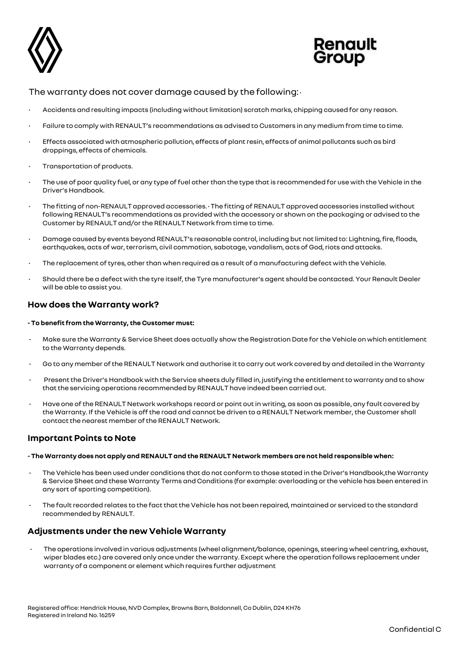



### The warranty does not cover damage caused by the following: •

- Accidents and resulting impacts (including without limitation) scratch marks, chipping caused for any reason.
- Failure to comply with RENAULT's recommendations as advised to Customers in any medium from time to time.
- Effects associated with atmospheric pollution, effects of plant resin, effects of animal pollutants such as bird droppings, effects of chemicals.
- Transportation of products.
- The use of poor quality fuel, or any type of fuel other than the type that is recommended for use with the Vehicle in the Driver's Handbook.
- The fitting of non-RENAULT approved accessories. The fitting of RENAULT approved accessories installed without following RENAULT's recommendations as provided with the accessory or shown on the packaging or advised to the Customer by RENAULT and/or the RENAULT Network from time to time.
- Damage caused by events beyond RENAULT's reasonable control, including but not limited to: Lightning, fire, floods, earthquakes, acts of war, terrorism, civil commotion, sabotage, vandalism, acts of God, riots and attacks.
- The replacement of tyres, other than when required as a result of a manufacturing defect with the Vehicle.
- Should there be a defect with the tyre itself, the Tyre manufacturer's agent should be contacted. Your Renault Dealer will be able to assist you.

### **How does the Warranty work?**

#### **- To benefit from the Warranty, the Customer must:**

- Make sure the Warranty & Service Sheet does actually show the Registration Date for the Vehicle on which entitlement to the Warranty depends.
- Go to any member of the RENAULT Network and authorise it to carry out work covered by and detailed in the Warranty
- Present the Driver's Handbook with the Service sheets duly filled in, justifying the entitlement to warranty and to show that the servicing operations recommended by RENAULT have indeed been carried out.
- Have one of the RENAULT Network workshops record or point out in writing, as soon as possible, any fault covered by the Warranty. If the Vehicle is off the road and cannot be driven to a RENAULT Network member, the Customer shall contact the nearest member of the RENAULT Network.

### **Important Points to Note**

#### **- The Warranty does not apply and RENAULT and the RENAULT Network members are not held responsible when:**

- The Vehicle has been used under conditions that do not conform to those stated in the Driver's Handbook,the Warranty & Service Sheet and these Warranty Terms and Conditions (for example: overloading or the vehicle has been entered in any sort of sporting competition).
- The fault recorded relates to the fact that the Vehicle has not been repaired, maintained or serviced to the standard recommended by RENAULT.

# **Adjustments under the new Vehicle Warranty**

The operations involved in various adjustments (wheel alignment/balance, openings, steering wheel centring, exhaust, wiper blades etc.) are covered only once under the warranty. Except where the operation follows replacement under warranty of a component or element which requires further adjustment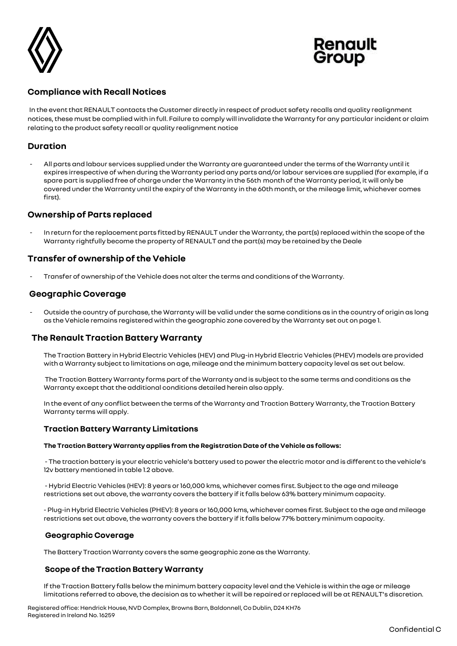



# **Compliance with Recall Notices**

In the event that RENAULT contacts the Customer directly in respect of product safety recalls and quality realignment notices,these must be complied with in full. Failure to comply will invalidate the Warranty for any particular incident or claim relating to the product safety recall or quality realignment notice

# **Duration**

- All parts and labour services supplied under the Warranty are guaranteed under the terms of the Warranty until it expires irrespective of when during the Warranty period any parts and/or labour services are supplied (for example, if a spare part is supplied free of charge under the Warranty in the 56th month of the Warranty period, it will only be covered under the Warranty until the expiry of the Warranty in the 60th month, or the mileage limit, whichever comes first).

### **Ownership of Parts replaced**

In return for the replacement parts fitted by RENAULT under the Warranty, the part(s) replaced within the scope of the Warranty rightfully become the property of RENAULT and the part(s) may be retained by the Deale

# **Transfer of ownership of the Vehicle**

Transfer of ownership of the Vehicle does not alter the terms and conditions of the Warranty.

### **Geographic Coverage**

Outside the country of purchase, the Warranty will be valid under the same conditions as in the country of origin as long as the Vehicle remains registered within the geographic zone covered by the Warranty set out on page 1.

# **The Renault Traction Battery Warranty**

The Traction Battery in Hybrid Electric Vehicles (HEV) and Plug-in Hybrid Electric Vehicles (PHEV) models are provided with a Warranty subject to limitations on age, mileage and the minimum battery capacity level as set out below.

The Traction Battery Warranty forms part of the Warranty and is subject to the same terms and conditions as the Warranty except that the additional conditions detailed herein also apply.

In the event of any conflict between the terms of the Warranty and Traction Battery Warranty, the Traction Battery Warranty terms will apply.

#### **Traction Battery Warranty Limitations**

#### **The Traction Battery Warranty applies from the Registration Date of the Vehicle as follows:**

- The traction battery is your electric vehicle's battery used to power the electric motor and is different to the vehicle's 12v battery mentioned in table 1.2 above.

- Hybrid Electric Vehicles (HEV): 8 years or 160,000 kms, whichever comes first. Subject to the age and mileage restrictions set out above, the warranty covers the battery if it falls below 63% battery minimum capacity.

- Plug-in Hybrid Electric Vehicles (PHEV): 8 years or 160,000 kms, whichever comes first. Subject to the age and mileage restrictions set out above, the warranty covers the battery if it falls below 77% battery minimum capacity.

#### **Geographic Coverage**

The Battery Traction Warranty covers the same geographic zone as the Warranty.

#### **Scope of the Traction Battery Warranty**

If the Traction Battery falls below the minimum battery capacity level and the Vehicle is within the age or mileage limitations referred to above, the decision as to whether it will be repaired or replaced will be at RENAULT's discretion.

Registered office: Hendrick House, NVD Complex, Browns Barn, Baldonnell, Co Dublin, D24 KH76 Registered in Ireland No. 16259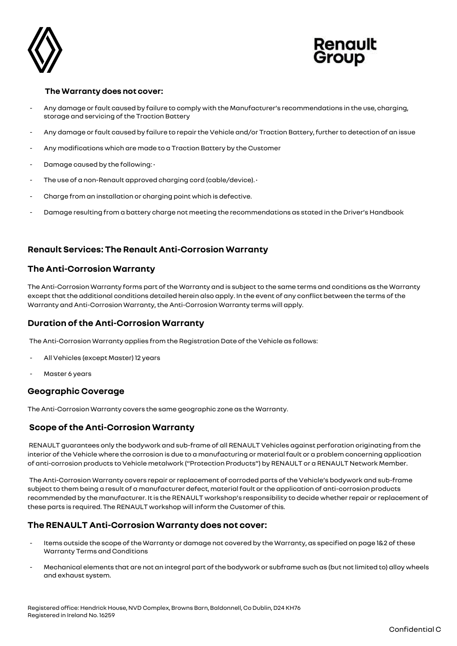



#### **The Warranty does not cover:**

- Any damage or fault caused by failure to comply with the Manufacturer's recommendations in the use, charging, storage and servicing of the Traction Battery
- Any damage or fault caused by failure to repair the Vehicle and/or Traction Battery, further to detection of an issue
- Any modifications which are made to a Traction Battery by the Customer
- Damage caused by the following:  $\cdot$
- The use of a non-Renault approved charging cord (cable/device). •
- Charge from an installation or charging point which is defective.
- Damage resulting from a battery charge not meeting the recommendations as stated in the Driver's Handbook

# **Renault Services: The Renault Anti-Corrosion Warranty**

# **The Anti-Corrosion Warranty**

The Anti-Corrosion Warranty forms part of the Warranty and is subject to the same terms and conditions as the Warranty except that the additional conditions detailed herein also apply. In the event of any conflict between the terms of the Warranty and Anti-Corrosion Warranty,the Anti-Corrosion Warranty terms will apply.

# **Duration of the Anti-Corrosion Warranty**

The Anti-Corrosion Warranty applies from the Registration Date of the Vehicle as follows:

- All Vehicles (except Master) 12 years
- Master 6 years

### **Geographic Coverage**

The Anti-Corrosion Warranty covers the same geographic zone as the Warranty.

### **Scope of the Anti-Corrosion Warranty**

RENAULT guarantees only the bodywork and sub-frame of all RENAULT Vehicles against perforation originating from the interior of the Vehicle where the corrosion is due to a manufacturing or material fault or a problem concerning application of anti-corrosion products to Vehicle metalwork ("Protection Products") by RENAULT or a RENAULT Network Member.

The Anti-Corrosion Warranty covers repair or replacement of corroded parts of the Vehicle's bodywork and sub-frame subject to them being a result of a manufacturer defect, material fault or the application of anti-corrosion products recommended by the manufacturer. It is the RENAULT workshop's responsibility to decide whether repair or replacement of these parts is required. The RENAULT workshop will inform the Customer of this.

# **The RENAULT Anti-Corrosion Warranty does not cover:**

- Items outside the scope of the Warranty or damage not covered by the Warranty, as specified on page 1&2 of these Warranty Terms and Conditions
- Mechanical elements that are not an integral part of the bodywork or subframe such as (but not limited to) alloy wheels and exhaust system.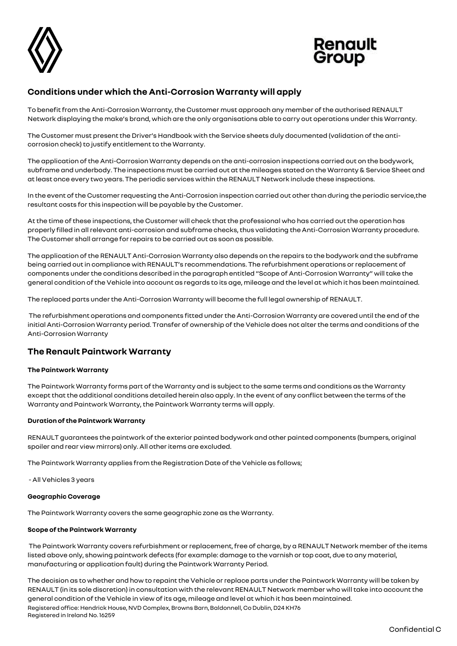



# **Conditions under which the Anti-Corrosion Warranty will apply**

To benefit from the Anti-Corrosion Warranty, the Customer must approach any member of the authorised RENAULT Network displaying the make's brand, which are the only organisations able to carry out operations under this Warranty.

The Customer must present the Driver's Handbook with the Service sheets duly documented (validation of the anticorrosion check) to justify entitlement to the Warranty.

The application of the Anti-Corrosion Warranty depends on the anti-corrosion inspections carried out on the bodywork, subframe and underbody. The inspections must be carried out at the mileages stated on the Warranty & Service Sheet and at least once every two years. The periodic services within the RENAULT Network include these inspections.

In the event of the Customer requesting the Anti-Corrosion inspection carried out other than during the periodic service,the resultant costs for this inspection will be payable by the Customer.

At the time of these inspections, the Customer will check that the professional who has carried out the operation has properly filled in all relevant anti-corrosion and subframe checks, thus validating the Anti-Corrosion Warranty procedure. The Customer shall arrange for repairs to be carried out as soon as possible.

The application of the RENAULT Anti-Corrosion Warranty also depends on the repairs to the bodywork and the subframe being carried out in compliance with RENAULT's recommendations. The refurbishment operations or replacement of components under the conditions described in the paragraph entitled "Scope of Anti-Corrosion Warranty" will take the general condition of the Vehicle into account as regards to its age, mileage and the level at which it has been maintained.

The replaced parts under the Anti-Corrosion Warranty will become the full legal ownership of RENAULT.

The refurbishment operations and components fitted under the Anti-Corrosion Warranty are covered until the end of the initial Anti-Corrosion Warranty period. Transfer of ownership of the Vehicle does not alter the terms and conditions of the Anti-Corrosion Warranty

# **The Renault Paintwork Warranty**

#### **The Paintwork Warranty**

The Paintwork Warranty forms part of the Warranty and is subject to the same terms and conditions as the Warranty except that the additional conditions detailed herein also apply. In the event of any conflict between the terms of the Warranty and Paintwork Warranty, the Paintwork Warranty terms will apply.

#### **Duration of the Paintwork Warranty**

RENAULT guarantees the paintwork of the exterior painted bodywork and other painted components (bumpers, original spoiler and rear view mirrors) only. All other items are excluded.

The Paintwork Warranty applies from the Registration Date of the Vehicle as follows;

- All Vehicles 3 years

#### **Geographic Coverage**

The Paintwork Warranty covers the same geographic zone as the Warranty.

#### **Scope of the Paintwork Warranty**

The Paintwork Warranty covers refurbishment or replacement, free of charge, by a RENAULT Network member of the items listed above only, showing paintwork defects (for example: damage to the varnish or top coat, due to any material, manufacturing or application fault) during the Paintwork Warranty Period.

Registered office: Hendrick House, NVD Complex, Browns Barn, Baldonnell, Co Dublin, D24 KH76 Registered in Ireland No. 16259 The decision as to whether and how to repaint the Vehicle or replace parts under the Paintwork Warranty will be taken by RENAULT (in its sole discretion) in consultation with the relevant RENAULT Network member who will take into account the general condition of the Vehicle in view of its age, mileage and level at which it has been maintained.